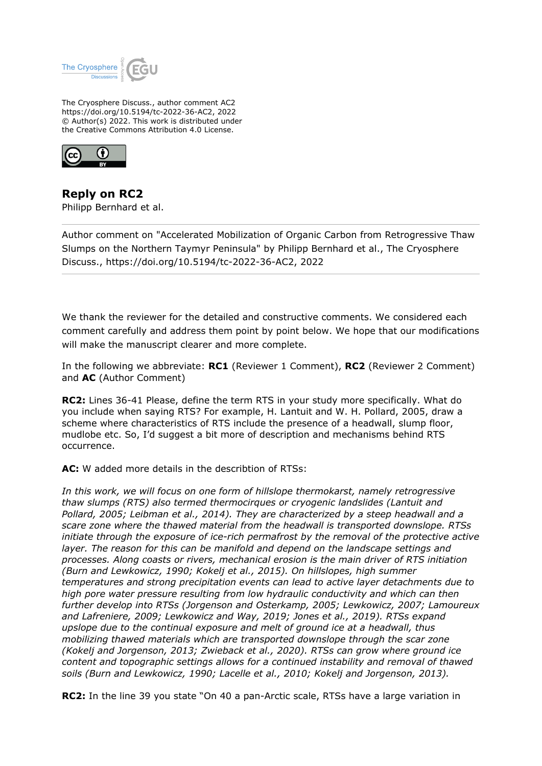

The Cryosphere Discuss., author comment AC2 https://doi.org/10.5194/tc-2022-36-AC2, 2022 © Author(s) 2022. This work is distributed under the Creative Commons Attribution 4.0 License.



**Reply on RC2** Philipp Bernhard et al.

Author comment on "Accelerated Mobilization of Organic Carbon from Retrogressive Thaw Slumps on the Northern Taymyr Peninsula" by Philipp Bernhard et al., The Cryosphere Discuss., https://doi.org/10.5194/tc-2022-36-AC2, 2022

We thank the reviewer for the detailed and constructive comments. We considered each comment carefully and address them point by point below. We hope that our modifications will make the manuscript clearer and more complete.

In the following we abbreviate: **RC1** (Reviewer 1 Comment), **RC2** (Reviewer 2 Comment) and **AC** (Author Comment)

**RC2:** Lines 36-41 Please, define the term RTS in your study more specifically. What do you include when saying RTS? For example, H. Lantuit and W. H. Pollard, 2005, draw a scheme where characteristics of RTS include the presence of a headwall, slump floor, mudlobe etc. So, I'd suggest a bit more of description and mechanisms behind RTS occurrence.

**AC:** W added more details in the describtion of RTSs:

*In this work, we will focus on one form of hillslope thermokarst, namely retrogressive thaw slumps (RTS) also termed thermocirques or cryogenic landslides (Lantuit and Pollard, 2005; Leibman et al., 2014). They are characterized by a steep headwall and a scare zone where the thawed material from the headwall is transported downslope. RTSs initiate through the exposure of ice-rich permafrost by the removal of the protective active layer. The reason for this can be manifold and depend on the landscape settings and processes. Along coasts or rivers, mechanical erosion is the main driver of RTS initiation (Burn and Lewkowicz, 1990; Kokelj et al., 2015). On hillslopes, high summer temperatures and strong precipitation events can lead to active layer detachments due to high pore water pressure resulting from low hydraulic conductivity and which can then further develop into RTSs (Jorgenson and Osterkamp, 2005; Lewkowicz, 2007; Lamoureux and Lafreniere, 2009; Lewkowicz and Way, 2019; Jones et al., 2019). RTSs expand upslope due to the continual exposure and melt of ground ice at a headwall, thus mobilizing thawed materials which are transported downslope through the scar zone (Kokelj and Jorgenson, 2013; Zwieback et al., 2020). RTSs can grow where ground ice content and topographic settings allows for a continued instability and removal of thawed soils (Burn and Lewkowicz, 1990; Lacelle et al., 2010; Kokelj and Jorgenson, 2013).*

**RC2:** In the line 39 you state "On 40 a pan-Arctic scale, RTSs have a large variation in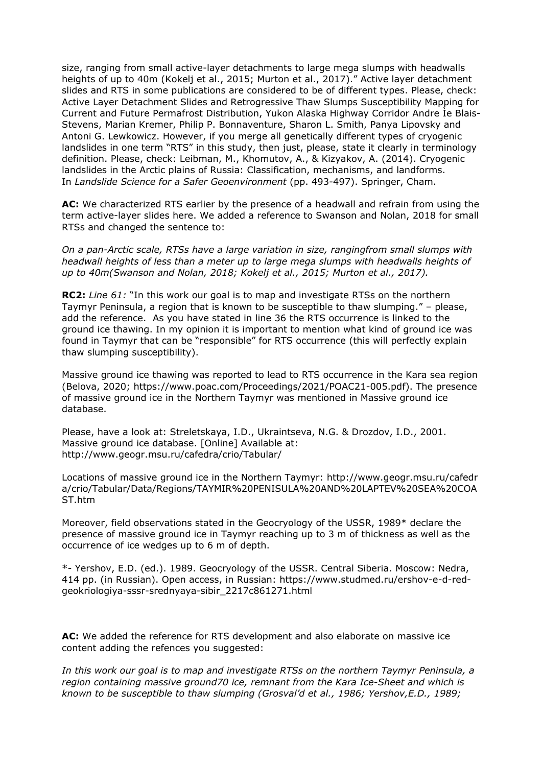size, ranging from small active-layer detachments to large mega slumps with headwalls heights of up to 40m (Kokelj et al., 2015; Murton et al., 2017)." Active layer detachment slides and RTS in some publications are considered to be of different types. Please, check: Active Layer Detachment Slides and Retrogressive Thaw Slumps Susceptibility Mapping for Current and Future Permafrost Distribution, Yukon Alaska Highway Corridor Andre Ìe Blais-Stevens, Marian Kremer, Philip P. Bonnaventure, Sharon L. Smith, Panya Lipovsky and Antoni G. Lewkowicz. However, if you merge all genetically different types of cryogenic landslides in one term "RTS" in this study, then just, please, state it clearly in terminology definition. Please, check: Leibman, M., Khomutov, A., & Kizyakov, A. (2014). Cryogenic landslides in the Arctic plains of Russia: Classification, mechanisms, and landforms. In *Landslide Science for a Safer Geoenvironment* (pp. 493-497). Springer, Cham.

**AC:** We characterized RTS earlier by the presence of a headwall and refrain from using the term active-layer slides here. We added a reference to Swanson and Nolan, 2018 for small RTSs and changed the sentence to:

*On a pan-Arctic scale, RTSs have a large variation in size, rangingfrom small slumps with headwall heights of less than a meter up to large mega slumps with headwalls heights of up to 40m(Swanson and Nolan, 2018; Kokelj et al., 2015; Murton et al., 2017).*

**RC2:** *Line 61:* "In this work our goal is to map and investigate RTSs on the northern Taymyr Peninsula, a region that is known to be susceptible to thaw slumping." – please, add the reference. As you have stated in line 36 the RTS occurrence is linked to the ground ice thawing. In my opinion it is important to mention what kind of ground ice was found in Taymyr that can be "responsible" for RTS occurrence (this will perfectly explain thaw slumping susceptibility).

Massive ground ice thawing was reported to lead to RTS occurrence in the Kara sea region (Belova, 2020; https://www.poac.com/Proceedings/2021/POAC21-005.pdf). The presence of massive ground ice in the Northern Taymyr was mentioned in Massive ground ice database.

Please, have a look at: Streletskaya, I.D., Ukraintseva, N.G. & Drozdov, I.D., 2001. Massive ground ice database. [Online] Available at: http://www.geogr.msu.ru/cafedra/crio/Tabular/

Locations of massive ground ice in the Northern Taymyr: http://www.geogr.msu.ru/cafedr a/crio/Tabular/Data/Regions/TAYMIR%20PENISULA%20AND%20LAPTEV%20SEA%20COA ST.htm

Moreover, field observations stated in the Geocryology of the USSR, 1989\* declare the presence of massive ground ice in Taymyr reaching up to 3 m of thickness as well as the occurrence of ice wedges up to 6 m of depth.

\*- Yershov, E.D. (ed.). 1989. Geocryology of the USSR. Central Siberia. Moscow: Nedra, 414 pp. (in Russian). Open access, in Russian: https://www.studmed.ru/ershov-e-d-redgeokriologiya-sssr-srednyaya-sibir\_2217c861271.html

**AC:** We added the reference for RTS development and also elaborate on massive ice content adding the refences you suggested:

*In this work our goal is to map and investigate RTSs on the northern Taymyr Peninsula, a region containing massive ground70 ice, remnant from the Kara Ice-Sheet and which is known to be susceptible to thaw slumping (Grosval'd et al., 1986; Yershov,E.D., 1989;*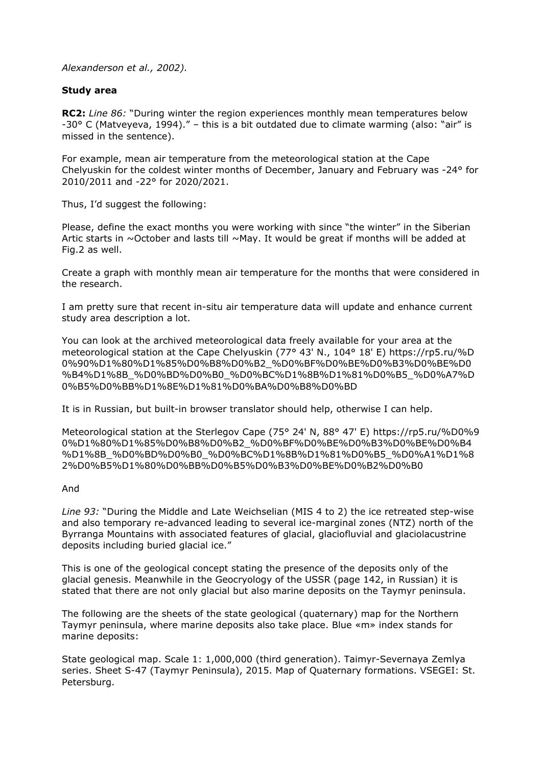### *Alexanderson et al., 2002).*

## **Study area**

**RC2:** *Line 86:* "During winter the region experiences monthly mean temperatures below -30° C (Matveyeva, 1994)." – this is a bit outdated due to climate warming (also: "air" is missed in the sentence).

For example, mean air temperature from the meteorological station at the Cape Chelyuskin for the coldest winter months of December, January and February was -24° for 2010/2011 and -22° for 2020/2021.

Thus, I'd suggest the following:

Please, define the exact months you were working with since "the winter" in the Siberian Artic starts in  $\sim$ October and lasts till  $\sim$ May. It would be great if months will be added at Fig.2 as well.

Create a graph with monthly mean air temperature for the months that were considered in the research.

I am pretty sure that recent in-situ air temperature data will update and enhance current study area description a lot.

You can look at the archived meteorological data freely available for your area at the meteorological station at the Cape Chelyuskin (77° 43' N., 104° 18' E) https://rp5.ru/%D 0%90%D1%80%D1%85%D0%B8%D0%B2\_%D0%BF%D0%BE%D0%B3%D0%BE%D0 %B4%D1%8B\_%D0%BD%D0%B0\_%D0%BC%D1%8B%D1%81%D0%B5\_%D0%A7%D 0%B5%D0%BB%D1%8E%D1%81%D0%BA%D0%B8%D0%BD

It is in Russian, but built-in browser translator should help, otherwise I can help.

Meteorological station at the Sterlegov Cape (75° 24' N, 88° 47' E) https://rp5.ru/%D0%9 0%D1%80%D1%85%D0%B8%D0%B2\_%D0%BF%D0%BE%D0%B3%D0%BE%D0%B4 %D1%8B\_%D0%BD%D0%B0\_%D0%BC%D1%8B%D1%81%D0%B5\_%D0%A1%D1%8 2%D0%B5%D1%80%D0%BB%D0%B5%D0%B3%D0%BE%D0%B2%D0%B0

### And

*Line 93:* "During the Middle and Late Weichselian (MIS 4 to 2) the ice retreated step-wise and also temporary re-advanced leading to several ice-marginal zones (NTZ) north of the Byrranga Mountains with associated features of glacial, glaciofluvial and glaciolacustrine deposits including buried glacial ice."

This is one of the geological concept stating the presence of the deposits only of the glacial genesis. Meanwhile in the Geocryology of the USSR (page 142, in Russian) it is stated that there are not only glacial but also marine deposits on the Taymyr peninsula.

The following are the sheets of the state geological (quaternary) map for the Northern Taymyr peninsula, where marine deposits also take place. Blue «m» index stands for marine deposits:

State geological map. Scale 1: 1,000,000 (third generation). Taimyr-Severnaya Zemlya series. Sheet S-47 (Taymyr Peninsula), 2015. Map of Quaternary formations. VSEGEI: St. Petersburg.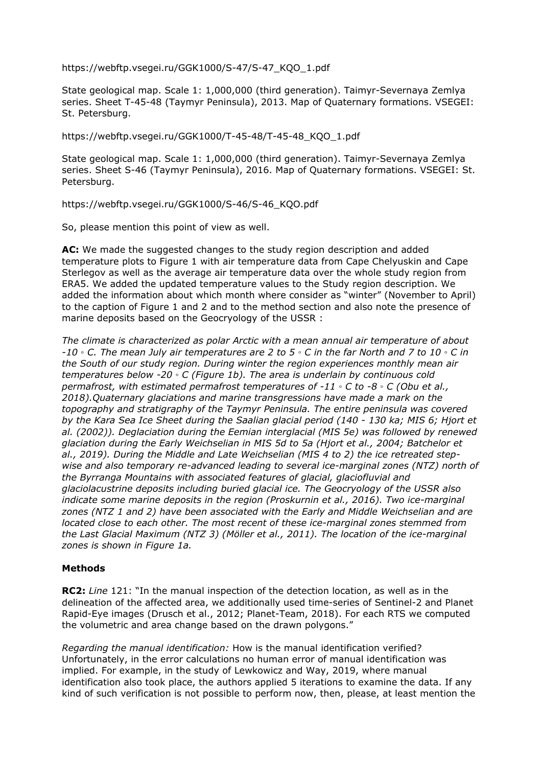https://webftp.vsegei.ru/GGK1000/S-47/S-47\_KQO\_1.pdf

State geological map. Scale 1: 1,000,000 (third generation). Taimyr-Severnaya Zemlya series. Sheet T-45-48 (Taymyr Peninsula), 2013. Map of Quaternary formations. VSEGEI: St. Petersburg.

https://webftp.vsegei.ru/GGK1000/T-45-48/T-45-48\_KQO\_1.pdf

State geological map. Scale 1: 1,000,000 (third generation). Taimyr-Severnaya Zemlya series. Sheet S-46 (Taymyr Peninsula), 2016. Map of Quaternary formations. VSEGEI: St. Petersburg.

https://webftp.vsegei.ru/GGK1000/S-46/S-46\_KQO.pdf

So, please mention this point of view as well.

**AC:** We made the suggested changes to the study region description and added temperature plots to Figure 1 with air temperature data from Cape Chelyuskin and Cape Sterlegov as well as the average air temperature data over the whole study region from ERA5. We added the updated temperature values to the Study region description. We added the information about which month where consider as "winter" (November to April) to the caption of Figure 1 and 2 and to the method section and also note the presence of marine deposits based on the Geocryology of the USSR :

*The climate is characterized as polar Arctic with a mean annual air temperature of about -10 ◦ C. The mean July air temperatures are 2 to 5 ◦ C in the far North and 7 to 10 ◦ C in the South of our study region. During winter the region experiences monthly mean air temperatures below -20 ◦ C (Figure 1b). The area is underlain by continuous cold permafrost, with estimated permafrost temperatures of -11 ◦ C to -8 ◦ C (Obu et al., 2018).Quaternary glaciations and marine transgressions have made a mark on the topography and stratigraphy of the Taymyr Peninsula. The entire peninsula was covered by the Kara Sea Ice Sheet during the Saalian glacial period (140 - 130 ka; MIS 6; Hjort et al. (2002)). Deglaciation during the Eemian interglacial (MIS 5e) was followed by renewed glaciation during the Early Weichselian in MIS 5d to 5a (Hjort et al., 2004; Batchelor et al., 2019). During the Middle and Late Weichselian (MIS 4 to 2) the ice retreated stepwise and also temporary re-advanced leading to several ice-marginal zones (NTZ) north of the Byrranga Mountains with associated features of glacial, glaciofluvial and glaciolacustrine deposits including buried glacial ice. The Geocryology of the USSR also indicate some marine deposits in the region (Proskurnin et al., 2016). Two ice-marginal zones (NTZ 1 and 2) have been associated with the Early and Middle Weichselian and are located close to each other. The most recent of these ice-marginal zones stemmed from the Last Glacial Maximum (NTZ 3) (Möller et al., 2011). The location of the ice-marginal zones is shown in Figure 1a.*

# **Methods**

**RC2:** *Line* 121: "In the manual inspection of the detection location, as well as in the delineation of the affected area, we additionally used time-series of Sentinel-2 and Planet Rapid-Eye images (Drusch et al., 2012; Planet-Team, 2018). For each RTS we computed the volumetric and area change based on the drawn polygons."

*Regarding the manual identification:* How is the manual identification verified? Unfortunately, in the error calculations no human error of manual identification was implied. For example, in the study of Lewkowicz and Way, 2019, where manual identification also took place, the authors applied 5 iterations to examine the data. If any kind of such verification is not possible to perform now, then, please, at least mention the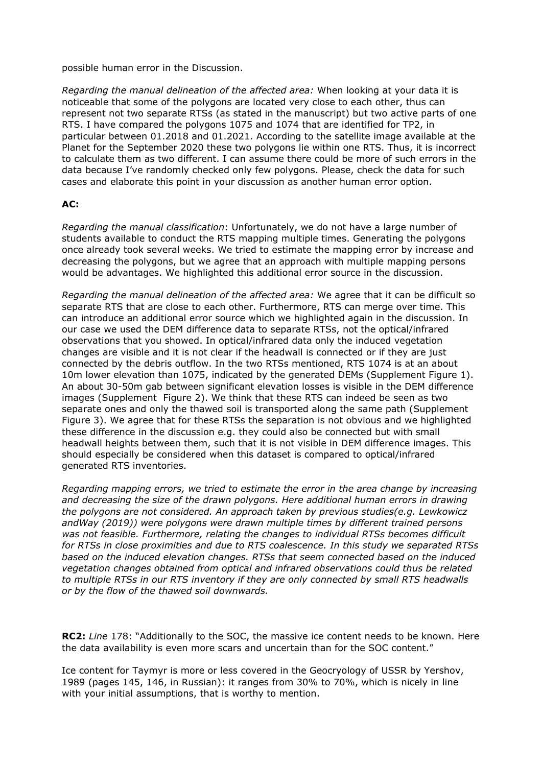possible human error in the Discussion.

*Regarding the manual delineation of the affected area:* When looking at your data it is noticeable that some of the polygons are located very close to each other, thus can represent not two separate RTSs (as stated in the manuscript) but two active parts of one RTS. I have compared the polygons 1075 and 1074 that are identified for TP2, in particular between 01.2018 and 01.2021. According to the satellite image available at the Planet for the September 2020 these two polygons lie within one RTS. Thus, it is incorrect to calculate them as two different. I can assume there could be more of such errors in the data because I've randomly checked only few polygons. Please, check the data for such cases and elaborate this point in your discussion as another human error option.

## **AC:**

*Regarding the manual classification*: Unfortunately, we do not have a large number of students available to conduct the RTS mapping multiple times. Generating the polygons once already took several weeks. We tried to estimate the mapping error by increase and decreasing the polygons, but we agree that an approach with multiple mapping persons would be advantages. We highlighted this additional error source in the discussion.

*Regarding the manual delineation of the affected area:* We agree that it can be difficult so separate RTS that are close to each other. Furthermore, RTS can merge over time. This can introduce an additional error source which we highlighted again in the discussion. In our case we used the DEM difference data to separate RTSs, not the optical/infrared observations that you showed. In optical/infrared data only the induced vegetation changes are visible and it is not clear if the headwall is connected or if they are just connected by the debris outflow. In the two RTSs mentioned, RTS 1074 is at an about 10m lower elevation than 1075, indicated by the generated DEMs (Supplement Figure 1). An about 30-50m gab between significant elevation losses is visible in the DEM difference images (Supplement Figure 2). We think that these RTS can indeed be seen as two separate ones and only the thawed soil is transported along the same path (Supplement Figure 3). We agree that for these RTSs the separation is not obvious and we highlighted these difference in the discussion e.g. they could also be connected but with small headwall heights between them, such that it is not visible in DEM difference images. This should especially be considered when this dataset is compared to optical/infrared generated RTS inventories.

*Regarding mapping errors, we tried to estimate the error in the area change by increasing and decreasing the size of the drawn polygons. Here additional human errors in drawing the polygons are not considered. An approach taken by previous studies(e.g. Lewkowicz andWay (2019)) were polygons were drawn multiple times by different trained persons was not feasible. Furthermore, relating the changes to individual RTSs becomes difficult for RTSs in close proximities and due to RTS coalescence. In this study we separated RTSs based on the induced elevation changes. RTSs that seem connected based on the induced vegetation changes obtained from optical and infrared observations could thus be related to multiple RTSs in our RTS inventory if they are only connected by small RTS headwalls or by the flow of the thawed soil downwards.* 

**RC2:** *Line* 178: "Additionally to the SOC, the massive ice content needs to be known. Here the data availability is even more scars and uncertain than for the SOC content."

Ice content for Taymyr is more or less covered in the Geocryology of USSR by Yershov, 1989 (pages 145, 146, in Russian): it ranges from 30% to 70%, which is nicely in line with your initial assumptions, that is worthy to mention.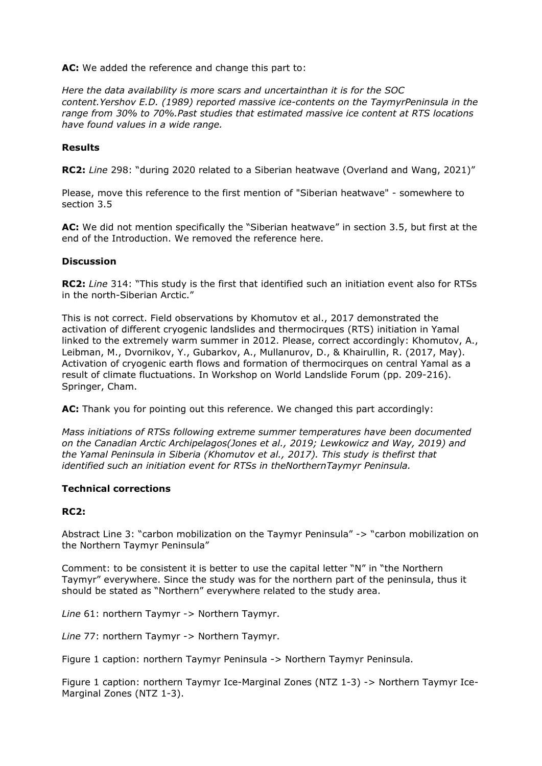**AC:** We added the reference and change this part to:

*Here the data availability is more scars and uncertainthan it is for the SOC content.Yershov E.D. (1989) reported massive ice-contents on the TaymyrPeninsula in the range from 30% to 70%.Past studies that estimated massive ice content at RTS locations have found values in a wide range.*

### **Results**

**RC2:** *Line* 298: "during 2020 related to a Siberian heatwave (Overland and Wang, 2021)"

Please, move this reference to the first mention of "Siberian heatwave" - somewhere to section 3.5

**AC:** We did not mention specifically the "Siberian heatwave" in section 3.5, but first at the end of the Introduction. We removed the reference here.

### **Discussion**

**RC2:** *Line* 314: "This study is the first that identified such an initiation event also for RTSs in the north-Siberian Arctic."

This is not correct. Field observations by Khomutov et al., 2017 demonstrated the activation of different cryogenic landslides and thermocirques (RTS) initiation in Yamal linked to the extremely warm summer in 2012. Please, correct accordingly: Khomutov, A., Leibman, M., Dvornikov, Y., Gubarkov, A., Mullanurov, D., & Khairullin, R. (2017, May). Activation of cryogenic earth flows and formation of thermocirques on central Yamal as a result of climate fluctuations. In Workshop on World Landslide Forum (pp. 209-216). Springer, Cham.

**AC:** Thank you for pointing out this reference. We changed this part accordingly:

*Mass initiations of RTSs following extreme summer temperatures have been documented on the Canadian Arctic Archipelagos(Jones et al., 2019; Lewkowicz and Way, 2019) and the Yamal Peninsula in Siberia (Khomutov et al., 2017). This study is thefirst that identified such an initiation event for RTSs in theNorthernTaymyr Peninsula.*

### **Technical corrections**

### **RC2:**

Abstract Line 3: "carbon mobilization on the Taymyr Peninsula" -> "carbon mobilization on the Northern Taymyr Peninsula"

Comment: to be consistent it is better to use the capital letter "N" in "the Northern Taymyr" everywhere. Since the study was for the northern part of the peninsula, thus it should be stated as "Northern" everywhere related to the study area.

*Line* 61: northern Taymyr -> Northern Taymyr.

*Line* 77: northern Taymyr -> Northern Taymyr.

Figure 1 caption: northern Taymyr Peninsula -> Northern Taymyr Peninsula.

Figure 1 caption: northern Taymyr Ice-Marginal Zones (NTZ 1-3) -> Northern Taymyr Ice-Marginal Zones (NTZ 1-3).